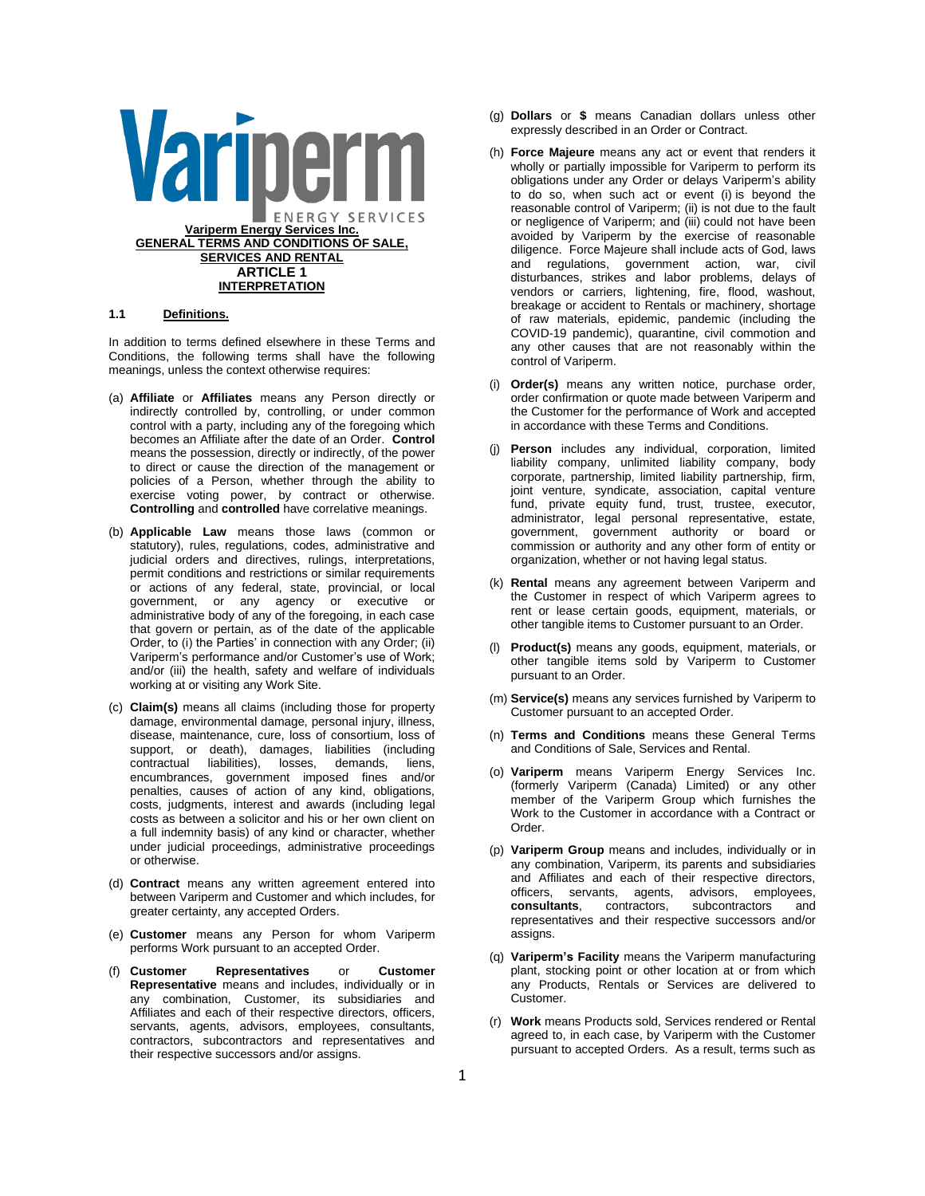

### **1.1 Definitions.**

In addition to terms defined elsewhere in these Terms and Conditions, the following terms shall have the following meanings, unless the context otherwise requires:

- (a) **Affiliate** or **Affiliates** means any Person directly or indirectly controlled by, controlling, or under common control with a party, including any of the foregoing which becomes an Affiliate after the date of an Order. **Control** means the possession, directly or indirectly, of the power to direct or cause the direction of the management or policies of a Person, whether through the ability to exercise voting power, by contract or otherwise. **Controlling** and **controlled** have correlative meanings.
- (b) **Applicable Law** means those laws (common or statutory), rules, regulations, codes, administrative and judicial orders and directives, rulings, interpretations, permit conditions and restrictions or similar requirements or actions of any federal, state, provincial, or local government, or any agency or executive or administrative body of any of the foregoing, in each case that govern or pertain, as of the date of the applicable Order, to (i) the Parties' in connection with any Order; (ii) Variperm's performance and/or Customer's use of Work; and/or (iii) the health, safety and welfare of individuals working at or visiting any Work Site.
- (c) **Claim(s)** means all claims (including those for property damage, environmental damage, personal injury, illness, disease, maintenance, cure, loss of consortium, loss of support, or death), damages, liabilities (including contractual liabilities), losses, demands, liens, encumbrances, government imposed fines and/or penalties, causes of action of any kind, obligations, costs, judgments, interest and awards (including legal costs as between a solicitor and his or her own client on a full indemnity basis) of any kind or character, whether under judicial proceedings, administrative proceedings or otherwise.
- (d) **Contract** means any written agreement entered into between Variperm and Customer and which includes, for greater certainty, any accepted Orders.
- (e) **Customer** means any Person for whom Variperm performs Work pursuant to an accepted Order.
- (f) **Customer Representatives** or **Customer Representative** means and includes, individually or in any combination, Customer, its subsidiaries and Affiliates and each of their respective directors, officers, servants, agents, advisors, employees, consultants, contractors, subcontractors and representatives and their respective successors and/or assigns.
- (g) **Dollars** or **\$** means Canadian dollars unless other expressly described in an Order or Contract.
- (h) **Force Majeure** means any act or event that renders it wholly or partially impossible for Variperm to perform its obligations under any Order or delays Variperm's ability to do so, when such act or event (i) is beyond the reasonable control of Variperm; (ii) is not due to the fault or negligence of Variperm; and (iii) could not have been avoided by Variperm by the exercise of reasonable diligence. Force Majeure shall include acts of God, laws and regulations, government action, war, civil disturbances, strikes and labor problems, delays of vendors or carriers, lightening, fire, flood, washout, breakage or accident to Rentals or machinery, shortage of raw materials, epidemic, pandemic (including the COVID-19 pandemic), quarantine, civil commotion and any other causes that are not reasonably within the control of Variperm.
- (i) **Order(s)** means any written notice, purchase order, order confirmation or quote made between Variperm and the Customer for the performance of Work and accepted in accordance with these Terms and Conditions.
- (j) **Person** includes any individual, corporation, limited liability company, unlimited liability company, body corporate, partnership, limited liability partnership, firm, joint venture, syndicate, association, capital venture fund, private equity fund, trust, trustee, executor, administrator, legal personal representative, estate, government, government authority or board or commission or authority and any other form of entity or organization, whether or not having legal status.
- (k) **Rental** means any agreement between Variperm and the Customer in respect of which Variperm agrees to rent or lease certain goods, equipment, materials, or other tangible items to Customer pursuant to an Order.
- (l) **Product(s)** means any goods, equipment, materials, or other tangible items sold by Variperm to Customer pursuant to an Order.
- (m) **Service(s)** means any services furnished by Variperm to Customer pursuant to an accepted Order.
- (n) **Terms and Conditions** means these General Terms and Conditions of Sale, Services and Rental.
- (o) **Variperm** means Variperm Energy Services Inc. (formerly Variperm (Canada) Limited) or any other member of the Variperm Group which furnishes the Work to the Customer in accordance with a Contract or Order.
- (p) **Variperm Group** means and includes, individually or in any combination, Variperm, its parents and subsidiaries and Affiliates and each of their respective directors, officers, servants, agents, advisors, employees, consultants, contractors, subcontractors and contractors, subcontractors and representatives and their respective successors and/or assigns.
- (q) **Variperm's Facility** means the Variperm manufacturing plant, stocking point or other location at or from which any Products, Rentals or Services are delivered to Customer.
- (r) **Work** means Products sold, Services rendered or Rental agreed to, in each case, by Variperm with the Customer pursuant to accepted Orders. As a result, terms such as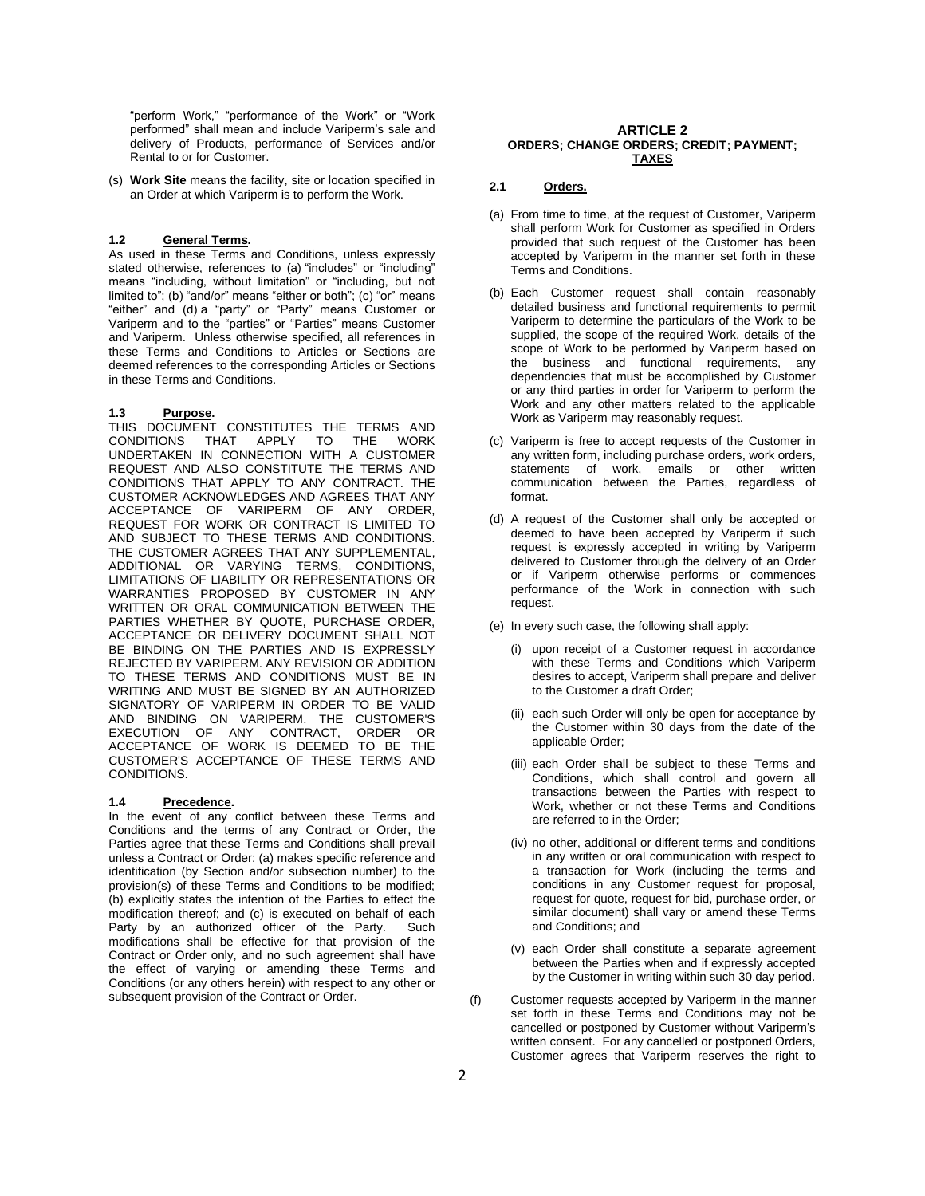"perform Work," "performance of the Work" or "Work performed" shall mean and include Variperm's sale and delivery of Products, performance of Services and/or Rental to or for Customer.

(s) **Work Site** means the facility, site or location specified in an Order at which Variperm is to perform the Work.

# **1.2 General Terms.**

As used in these Terms and Conditions, unless expressly stated otherwise, references to (a) "includes" or "including" means "including, without limitation" or "including, but not limited to"; (b) "and/or" means "either or both"; (c) "or" means "either" and (d) a "party" or "Party" means Customer or Variperm and to the "parties" or "Parties" means Customer and Variperm. Unless otherwise specified, all references in these Terms and Conditions to Articles or Sections are deemed references to the corresponding Articles or Sections in these Terms and Conditions.

## **1.3 Purpose.**

THIS DOCUMENT CONSTITUTES THE TERMS AND CONDITIONS THAT APPLY TO THE WORK APPLY TO THE WORK UNDERTAKEN IN CONNECTION WITH A CUSTOMER REQUEST AND ALSO CONSTITUTE THE TERMS AND CONDITIONS THAT APPLY TO ANY CONTRACT. THE CUSTOMER ACKNOWLEDGES AND AGREES THAT ANY ACCEPTANCE OF VARIPERM OF ANY ORDER, REQUEST FOR WORK OR CONTRACT IS LIMITED TO AND SUBJECT TO THESE TERMS AND CONDITIONS. THE CUSTOMER AGREES THAT ANY SUPPLEMENTAL, ADDITIONAL OR VARYING TERMS, CONDITIONS, LIMITATIONS OF LIABILITY OR REPRESENTATIONS OR WARRANTIES PROPOSED BY CUSTOMER IN ANY WRITTEN OR ORAL COMMUNICATION BETWEEN THE PARTIES WHETHER BY QUOTE, PURCHASE ORDER, ACCEPTANCE OR DELIVERY DOCUMENT SHALL NOT BE BINDING ON THE PARTIES AND IS EXPRESSLY REJECTED BY VARIPERM. ANY REVISION OR ADDITION TO THESE TERMS AND CONDITIONS MUST BE IN WRITING AND MUST BE SIGNED BY AN AUTHORIZED SIGNATORY OF VARIPERM IN ORDER TO BE VALID AND BINDING ON VARIPERM. THE CUSTOMER'S EXECUTION OF ANY CONTRACT, ORDER OR ACCEPTANCE OF WORK IS DEEMED TO BE THE CUSTOMER'S ACCEPTANCE OF THESE TERMS AND CONDITIONS.

# **1.4 Precedence.**

In the event of any conflict between these Terms and Conditions and the terms of any Contract or Order, the Parties agree that these Terms and Conditions shall prevail unless a Contract or Order: (a) makes specific reference and identification (by Section and/or subsection number) to the provision(s) of these Terms and Conditions to be modified; (b) explicitly states the intention of the Parties to effect the modification thereof; and (c) is executed on behalf of each Party by an authorized officer of the Party. Such modifications shall be effective for that provision of the Contract or Order only, and no such agreement shall have the effect of varying or amending these Terms and Conditions (or any others herein) with respect to any other or subsequent provision of the Contract or Order.

#### **ARTICLE 2 ORDERS; CHANGE ORDERS; CREDIT; PAYMENT; TAXES**

# **2.1 Orders.**

- (a) From time to time, at the request of Customer, Variperm shall perform Work for Customer as specified in Orders provided that such request of the Customer has been accepted by Variperm in the manner set forth in these Terms and Conditions.
- <span id="page-1-1"></span>(b) Each Customer request shall contain reasonably detailed business and functional requirements to permit Variperm to determine the particulars of the Work to be supplied, the scope of the required Work, details of the scope of Work to be performed by Variperm based on the business and functional requirements, any dependencies that must be accomplished by Customer or any third parties in order for Variperm to perform the Work and any other matters related to the applicable Work as Variperm may reasonably request.
- (c) Variperm is free to accept requests of the Customer in any written form, including purchase orders, work orders, statements of work, emails or other written communication between the Parties, regardless of format.
- (d) A request of the Customer shall only be accepted or deemed to have been accepted by Variperm if such request is expressly accepted in writing by Variperm delivered to Customer through the delivery of an Order or if Variperm otherwise performs or commences performance of the Work in connection with such request.
- (e) In every such case, the following shall apply:
	- (i) upon receipt of a Customer request in accordance with these Terms and Conditions which Variperm desires to accept, Variperm shall prepare and deliver to the Customer a draft Order;
	- (ii) each such Order will only be open for acceptance by the Customer within 30 days from the date of the applicable Order;
	- (iii) each Order shall be subject to these Terms and Conditions, which shall control and govern all transactions between the Parties with respect to Work, whether or not these Terms and Conditions are referred to in the Order;
	- (iv) no other, additional or different terms and conditions in any written or oral communication with respect to a transaction for Work (including the terms and conditions in any Customer request for proposal, request for quote, request for bid, purchase order, or similar document) shall vary or amend these Terms and Conditions; and
	- (v) each Order shall constitute a separate agreement between the Parties when and if expressly accepted by the Customer in writing within such 30 day period.
- <span id="page-1-0"></span>(f) Customer requests accepted by Variperm in the manner set forth in these Terms and Conditions may not be cancelled or postponed by Customer without Variperm's written consent. For any cancelled or postponed Orders, Customer agrees that Variperm reserves the right to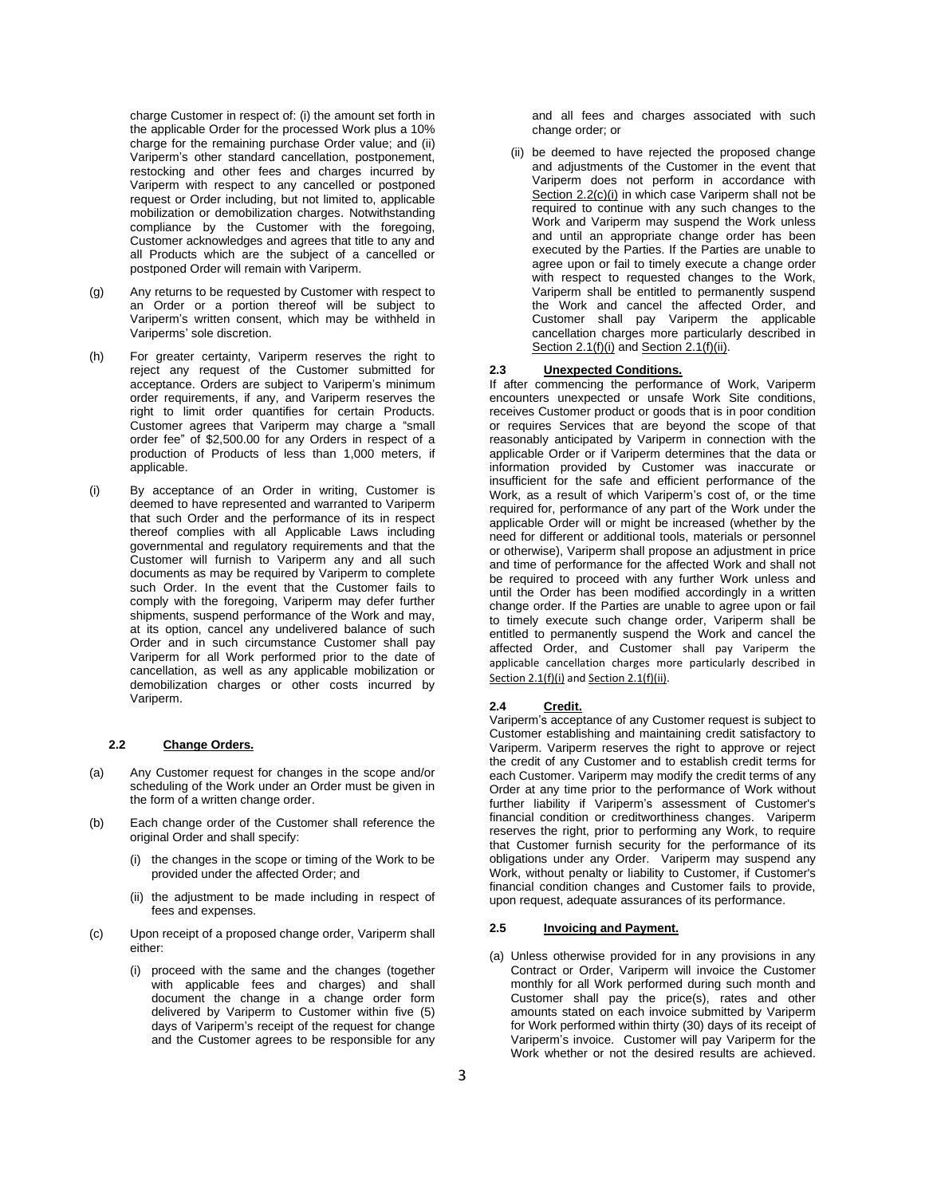charge Customer in respect of: (i) the amount set forth in the applicable Order for the processed Work plus a 10% charge for the remaining purchase Order value; and (ii) Variperm's other standard cancellation, postponement, restocking and other fees and charges incurred by Variperm with respect to any cancelled or postponed request or Order including, but not limited to, applicable mobilization or demobilization charges. Notwithstanding compliance by the Customer with the foregoing, Customer acknowledges and agrees that title to any and all Products which are the subject of a cancelled or postponed Order will remain with Variperm.

- (g) Any returns to be requested by Customer with respect to an Order or a portion thereof will be subject to Variperm's written consent, which may be withheld in Variperms' sole discretion.
- (h) For greater certainty, Variperm reserves the right to reject any request of the Customer submitted for acceptance. Orders are subject to Variperm's minimum order requirements, if any, and Variperm reserves the right to limit order quantifies for certain Products. Customer agrees that Variperm may charge a "small order fee" of \$2,500.00 for any Orders in respect of a production of Products of less than 1,000 meters, if applicable.
- (i) By acceptance of an Order in writing, Customer is deemed to have represented and warranted to Variperm that such Order and the performance of its in respect thereof complies with all Applicable Laws including governmental and regulatory requirements and that the Customer will furnish to Variperm any and all such documents as may be required by Variperm to complete such Order. In the event that the Customer fails to comply with the foregoing, Variperm may defer further shipments, suspend performance of the Work and may, at its option, cancel any undelivered balance of such Order and in such circumstance Customer shall pay Variperm for all Work performed prior to the date of cancellation, as well as any applicable mobilization or demobilization charges or other costs incurred by Variperm.

# **2.2 Change Orders.**

- (a) Any Customer request for changes in the scope and/or scheduling of the Work under an Order must be given in the form of a written change order.
- (b) Each change order of the Customer shall reference the original Order and shall specify:
	- (i) the changes in the scope or timing of the Work to be provided under the affected Order; and
	- (ii) the adjustment to be made including in respect of fees and expenses.
- <span id="page-2-0"></span>(c) Upon receipt of a proposed change order, Variperm shall either:
	- (i) proceed with the same and the changes (together with applicable fees and charges) and shall document the change in a change order form delivered by Variperm to Customer within five (5) days of Variperm's receipt of the request for change and the Customer agrees to be responsible for any

and all fees and charges associated with such change order; or

(ii) be deemed to have rejected the proposed change and adjustments of the Customer in the event that Variperm does not perform in accordance with Sectio[n 2.2\(c\)\(i\)](#page-2-0) in which case Variperm shall not be required to continue with any such changes to the Work and Variperm may suspend the Work unless and until an appropriate change order has been executed by the Parties. If the Parties are unable to agree upon or fail to timely execute a change order with respect to requested changes to the Work, Variperm shall be entitled to permanently suspend the Work and cancel the affected Order, and Customer shall pay Variperm the applicable cancellation charges more particularly described in Sectio[n 2.1\(f\)\(](#page-1-0)i) and Section 2.1(f)(ii).

# **2.3 Unexpected Conditions.**

If after commencing the performance of Work, Variperm encounters unexpected or unsafe Work Site conditions, receives Customer product or goods that is in poor condition or requires Services that are beyond the scope of that reasonably anticipated by Variperm in connection with the applicable Order or if Variperm determines that the data or information provided by Customer was inaccurate or insufficient for the safe and efficient performance of the Work, as a result of which Variperm's cost of, or the time required for, performance of any part of the Work under the applicable Order will or might be increased (whether by the need for different or additional tools, materials or personnel or otherwise), Variperm shall propose an adjustment in price and time of performance for the affected Work and shall not be required to proceed with any further Work unless and until the Order has been modified accordingly in a written change order. If the Parties are unable to agree upon or fail to timely execute such change order, Variperm shall be entitled to permanently suspend the Work and cancel the affected Order, and Customer shall pay Variperm the applicable cancellation charges more particularly described in Section [2.1\(f\)\(](#page-1-0)i) and Sectio[n 2.1\(f\)\(](#page-1-0)ii).

# **2.4 Credit.**

Variperm's acceptance of any Customer request is subject to Customer establishing and maintaining credit satisfactory to Variperm. Variperm reserves the right to approve or reject the credit of any Customer and to establish credit terms for each Customer. Variperm may modify the credit terms of any Order at any time prior to the performance of Work without further liability if Variperm's assessment of Customer's financial condition or creditworthiness changes. Variperm reserves the right, prior to performing any Work, to require that Customer furnish security for the performance of its obligations under any Order. Variperm may suspend any Work, without penalty or liability to Customer, if Customer's financial condition changes and Customer fails to provide, upon request, adequate assurances of its performance.

## **2.5 Invoicing and Payment.**

(a) Unless otherwise provided for in any provisions in any Contract or Order, Variperm will invoice the Customer monthly for all Work performed during such month and Customer shall pay the price(s), rates and other amounts stated on each invoice submitted by Variperm for Work performed within thirty (30) days of its receipt of Variperm's invoice. Customer will pay Variperm for the Work whether or not the desired results are achieved.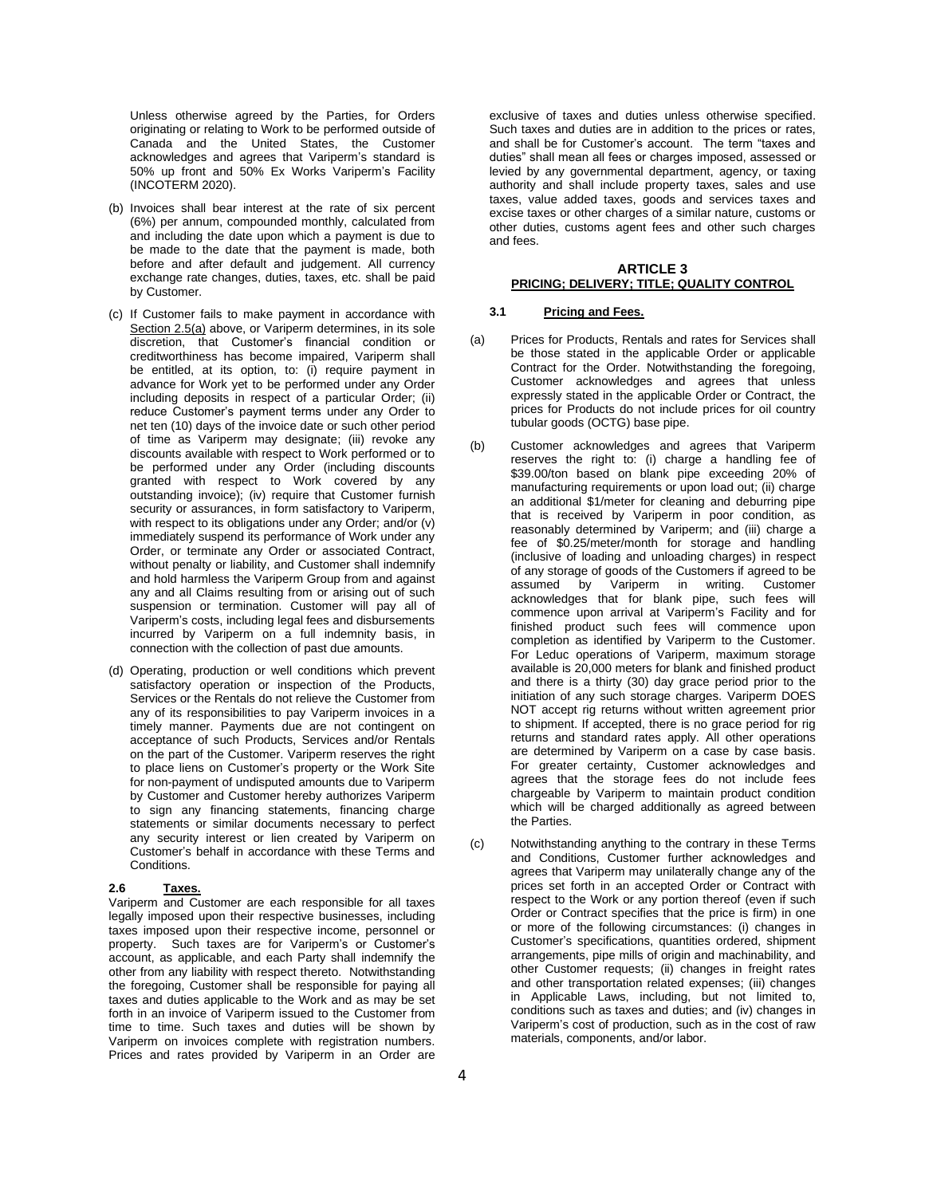Unless otherwise agreed by the Parties, for Orders originating or relating to Work to be performed outside of Canada and the United States, the Customer acknowledges and agrees that Variperm's standard is 50% up front and 50% Ex Works Variperm's Facility (INCOTERM 2020).

- (b) Invoices shall bear interest at the rate of six percent (6%) per annum, compounded monthly, calculated from and including the date upon which a payment is due to be made to the date that the payment is made, both before and after default and judgement. All currency exchange rate changes, duties, taxes, etc. shall be paid by Customer.
- (c) If Customer fails to make payment in accordance with Section 2.5(a) above, or Variperm determines, in its sole discretion, that Customer's financial condition or creditworthiness has become impaired, Variperm shall be entitled, at its option, to: (i) require payment in advance for Work yet to be performed under any Order including deposits in respect of a particular Order; (ii) reduce Customer's payment terms under any Order to net ten (10) days of the invoice date or such other period of time as Variperm may designate; (iii) revoke any discounts available with respect to Work performed or to be performed under any Order (including discounts granted with respect to Work covered by any outstanding invoice); (iv) require that Customer furnish security or assurances, in form satisfactory to Variperm, with respect to its obligations under any Order; and/or (v) immediately suspend its performance of Work under any Order, or terminate any Order or associated Contract, without penalty or liability, and Customer shall indemnify and hold harmless the Variperm Group from and against any and all Claims resulting from or arising out of such suspension or termination. Customer will pay all of Variperm's costs, including legal fees and disbursements incurred by Variperm on a full indemnity basis, in connection with the collection of past due amounts.
- (d) Operating, production or well conditions which prevent satisfactory operation or inspection of the Products, Services or the Rentals do not relieve the Customer from any of its responsibilities to pay Variperm invoices in a timely manner. Payments due are not contingent on acceptance of such Products, Services and/or Rentals on the part of the Customer. Variperm reserves the right to place liens on Customer's property or the Work Site for non-payment of undisputed amounts due to Variperm by Customer and Customer hereby authorizes Variperm to sign any financing statements, financing charge statements or similar documents necessary to perfect any security interest or lien created by Variperm on Customer's behalf in accordance with these Terms and Conditions.

#### **2.6 Taxes.**

Variperm and Customer are each responsible for all taxes legally imposed upon their respective businesses, including taxes imposed upon their respective income, personnel or property. Such taxes are for Variperm's or Customer's account, as applicable, and each Party shall indemnify the other from any liability with respect thereto.Notwithstanding the foregoing, Customer shall be responsible for paying all taxes and duties applicable to the Work and as may be set forth in an invoice of Variperm issued to the Customer from time to time. Such taxes and duties will be shown by Variperm on invoices complete with registration numbers. Prices and rates provided by Variperm in an Order are exclusive of taxes and duties unless otherwise specified. Such taxes and duties are in addition to the prices or rates, and shall be for Customer's account. The term "taxes and duties" shall mean all fees or charges imposed, assessed or levied by any governmental department, agency, or taxing authority and shall include property taxes, sales and use taxes, value added taxes, goods and services taxes and excise taxes or other charges of a similar nature, customs or other duties, customs agent fees and other such charges and fees.

# **ARTICLE 3 PRICING; DELIVERY; TITLE; QUALITY CONTROL**

## **3.1 Pricing and Fees.**

- (a) Prices for Products, Rentals and rates for Services shall be those stated in the applicable Order or applicable Contract for the Order. Notwithstanding the foregoing, Customer acknowledges and agrees that unless expressly stated in the applicable Order or Contract, the prices for Products do not include prices for oil country tubular goods (OCTG) base pipe.
- (b) Customer acknowledges and agrees that Variperm reserves the right to: (i) charge a handling fee of \$39.00/ton based on blank pipe exceeding 20% of manufacturing requirements or upon load out; (ii) charge an additional \$1/meter for cleaning and deburring pipe that is received by Variperm in poor condition, as reasonably determined by Variperm; and (iii) charge a fee of \$0.25/meter/month for storage and handling (inclusive of loading and unloading charges) in respect of any storage of goods of the Customers if agreed to be assumed by Variperm in writing. Customer acknowledges that for blank pipe, such fees will commence upon arrival at Variperm's Facility and for finished product such fees will commence upon completion as identified by Variperm to the Customer. For Leduc operations of Variperm, maximum storage available is 20,000 meters for blank and finished product and there is a thirty (30) day grace period prior to the initiation of any such storage charges. Variperm DOES NOT accept rig returns without written agreement prior to shipment. If accepted, there is no grace period for rig returns and standard rates apply. All other operations are determined by Variperm on a case by case basis. For greater certainty, Customer acknowledges and agrees that the storage fees do not include fees chargeable by Variperm to maintain product condition which will be charged additionally as agreed between the Parties.
- (c) Notwithstanding anything to the contrary in these Terms and Conditions, Customer further acknowledges and agrees that Variperm may unilaterally change any of the prices set forth in an accepted Order or Contract with respect to the Work or any portion thereof (even if such Order or Contract specifies that the price is firm) in one or more of the following circumstances: (i) changes in Customer's specifications, quantities ordered, shipment arrangements, pipe mills of origin and machinability, and other Customer requests; (ii) changes in freight rates and other transportation related expenses; (iii) changes in Applicable Laws, including, but not limited to, conditions such as taxes and duties; and (iv) changes in Variperm's cost of production, such as in the cost of raw materials, components, and/or labor.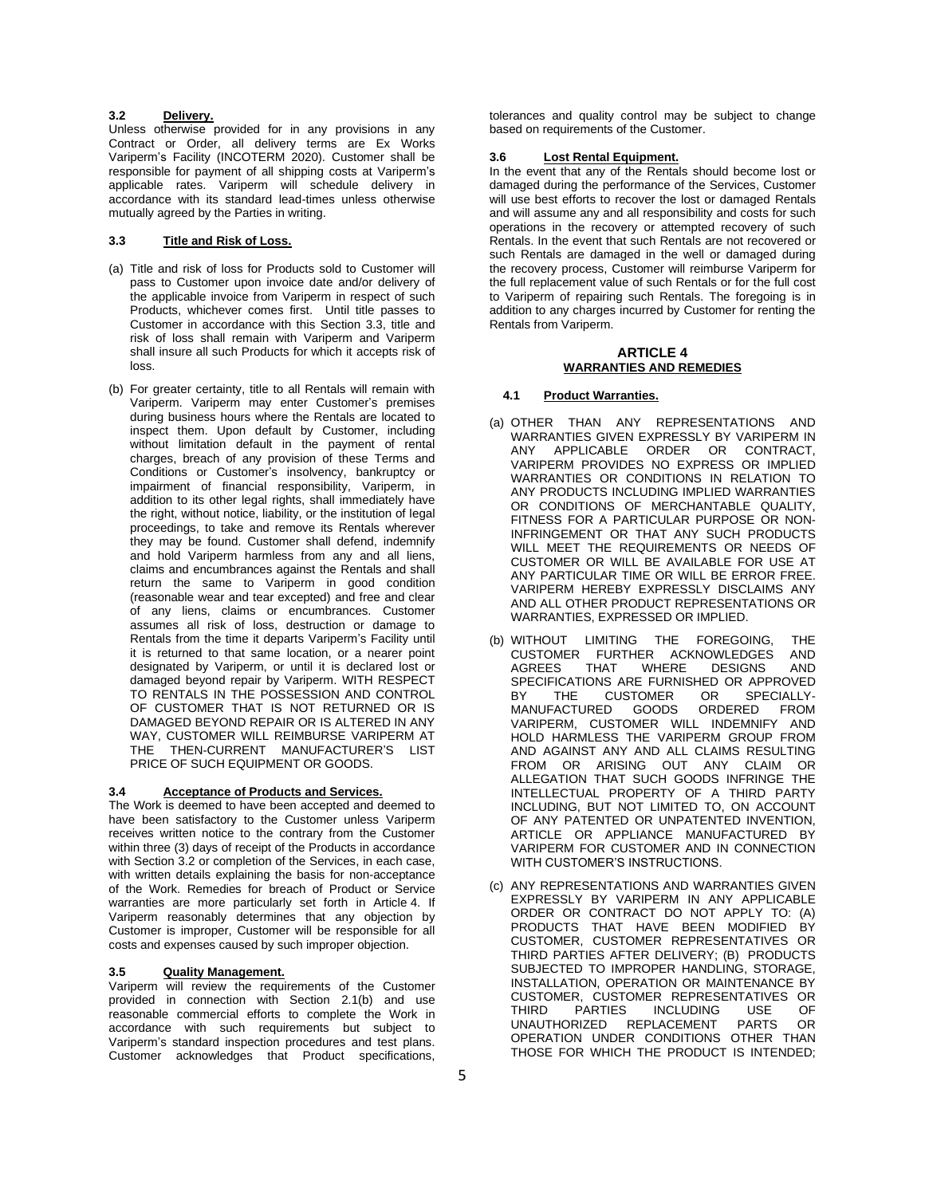# <span id="page-4-1"></span>**3.2 Delivery.**

Unless otherwise provided for in any provisions in any Contract or Order, all delivery terms are Ex Works Variperm's Facility (INCOTERM 2020). Customer shall be responsible for payment of all shipping costs at Variperm's applicable rates. Variperm will schedule delivery in accordance with its standard lead-times unless otherwise mutually agreed by the Parties in writing.

# <span id="page-4-0"></span>**3.3 Title and Risk of Loss.**

- (a) Title and risk of loss for Products sold to Customer will pass to Customer upon invoice date and/or delivery of the applicable invoice from Variperm in respect of such Products, whichever comes first. Until title passes to Customer in accordance with this Section [3.3,](#page-4-0) title and risk of loss shall remain with Variperm and Variperm shall insure all such Products for which it accepts risk of loss.
- (b) For greater certainty, title to all Rentals will remain with Variperm. Variperm may enter Customer's premises during business hours where the Rentals are located to inspect them. Upon default by Customer, including without limitation default in the payment of rental charges, breach of any provision of these Terms and Conditions or Customer's insolvency, bankruptcy or impairment of financial responsibility, Variperm, in addition to its other legal rights, shall immediately have the right, without notice, liability, or the institution of legal proceedings, to take and remove its Rentals wherever they may be found. Customer shall defend, indemnify and hold Variperm harmless from any and all liens, claims and encumbrances against the Rentals and shall return the same to Variperm in good condition (reasonable wear and tear excepted) and free and clear of any liens, claims or encumbrances. Customer assumes all risk of loss, destruction or damage to Rentals from the time it departs Variperm's Facility until it is returned to that same location, or a nearer point designated by Variperm, or until it is declared lost or damaged beyond repair by Variperm. WITH RESPECT TO RENTALS IN THE POSSESSION AND CONTROL OF CUSTOMER THAT IS NOT RETURNED OR IS DAMAGED BEYOND REPAIR OR IS ALTERED IN ANY WAY, CUSTOMER WILL REIMBURSE VARIPERM AT THE THEN-CURRENT MANUFACTURER'S LIST PRICE OF SUCH EQUIPMENT OR GOODS.

#### **3.4 Acceptance of Products and Services.**

The Work is deemed to have been accepted and deemed to have been satisfactory to the Customer unless Variperm receives written notice to the contrary from the Customer within three (3) days of receipt of the Products in accordance with Section [3.2](#page-4-1) or completion of the Services, in each case, with written details explaining the basis for non-acceptance of the Work. Remedies for breach of Product or Service warranties are more particularly set forth in [Article](#page-4-2) 4. If Variperm reasonably determines that any objection by Customer is improper, Customer will be responsible for all costs and expenses caused by such improper objection.

# **3.5 Quality Management.**

Variperm will review the requirements of the Customer provided in connection with Section [2.1\(b\)](#page-1-1) and use reasonable commercial efforts to complete the Work in accordance with such requirements but subject to Variperm's standard inspection procedures and test plans. Customer acknowledges that Product specifications,

tolerances and quality control may be subject to change based on requirements of the Customer.

# **3.6 Lost Rental Equipment.**

In the event that any of the Rentals should become lost or damaged during the performance of the Services, Customer will use best efforts to recover the lost or damaged Rentals and will assume any and all responsibility and costs for such operations in the recovery or attempted recovery of such Rentals. In the event that such Rentals are not recovered or such Rentals are damaged in the well or damaged during the recovery process, Customer will reimburse Variperm for the full replacement value of such Rentals or for the full cost to Variperm of repairing such Rentals. The foregoing is in addition to any charges incurred by Customer for renting the Rentals from Variperm.

# **ARTICLE 4 WARRANTIES AND REMEDIES**

#### <span id="page-4-2"></span>**4.1 Product Warranties.**

- (a) OTHER THAN ANY REPRESENTATIONS AND WARRANTIES GIVEN EXPRESSLY BY VARIPERM IN ANY APPLICABLE ORDER OR CONTRACT, VARIPERM PROVIDES NO EXPRESS OR IMPLIED WARRANTIES OR CONDITIONS IN RELATION TO ANY PRODUCTS INCLUDING IMPLIED WARRANTIES OR CONDITIONS OF MERCHANTABLE QUALITY, FITNESS FOR A PARTICULAR PURPOSE OR NON-INFRINGEMENT OR THAT ANY SUCH PRODUCTS WILL MEET THE REQUIREMENTS OR NEEDS OF CUSTOMER OR WILL BE AVAILABLE FOR USE AT ANY PARTICULAR TIME OR WILL BE ERROR FREE. VARIPERM HEREBY EXPRESSLY DISCLAIMS ANY AND ALL OTHER PRODUCT REPRESENTATIONS OR WARRANTIES, EXPRESSED OR IMPLIED.
- (b) WITHOUT LIMITING THE FOREGOING, THE<br>CUSTOMER FURTHER ACKNOWLEDGES AND CUSTOMER FURTHER ACKNOWLEDGES AGREES THAT WHERE DESIGNS AND SPECIFICATIONS ARE FURNISHED OR APPROVED<br>BY THE CUSTOMER OR SPECIALLY-CUSTOMER OR SPE MANUFACTURED GOODS ORDERED FROM VARIPERM, CUSTOMER WILL INDEMNIFY AND HOLD HARMLESS THE VARIPERM GROUP FROM AND AGAINST ANY AND ALL CLAIMS RESULTING FROM OR ARISING OUT ANY CLAIM OR ALLEGATION THAT SUCH GOODS INFRINGE THE INTELLECTUAL PROPERTY OF A THIRD PARTY INCLUDING, BUT NOT LIMITED TO, ON ACCOUNT OF ANY PATENTED OR UNPATENTED INVENTION, ARTICLE OR APPLIANCE MANUFACTURED BY VARIPERM FOR CUSTOMER AND IN CONNECTION WITH CUSTOMER'S INSTRUCTIONS.
- (c) ANY REPRESENTATIONS AND WARRANTIES GIVEN EXPRESSLY BY VARIPERM IN ANY APPLICABLE ORDER OR CONTRACT DO NOT APPLY TO: (A) PRODUCTS THAT HAVE BEEN MODIFIED BY CUSTOMER, CUSTOMER REPRESENTATIVES OR THIRD PARTIES AFTER DELIVERY; (B) PRODUCTS SUBJECTED TO IMPROPER HANDLING, STORAGE, INSTALLATION, OPERATION OR MAINTENANCE BY CUSTOMER, CUSTOMER REPRESENTATIVES OR THIRD PARTIES INCLUDING USE OF<br>UNAUTHORIZED REPLACEMENT PARTS OR **UNAUTHORIZED** OPERATION UNDER CONDITIONS OTHER THAN THOSE FOR WHICH THE PRODUCT IS INTENDED;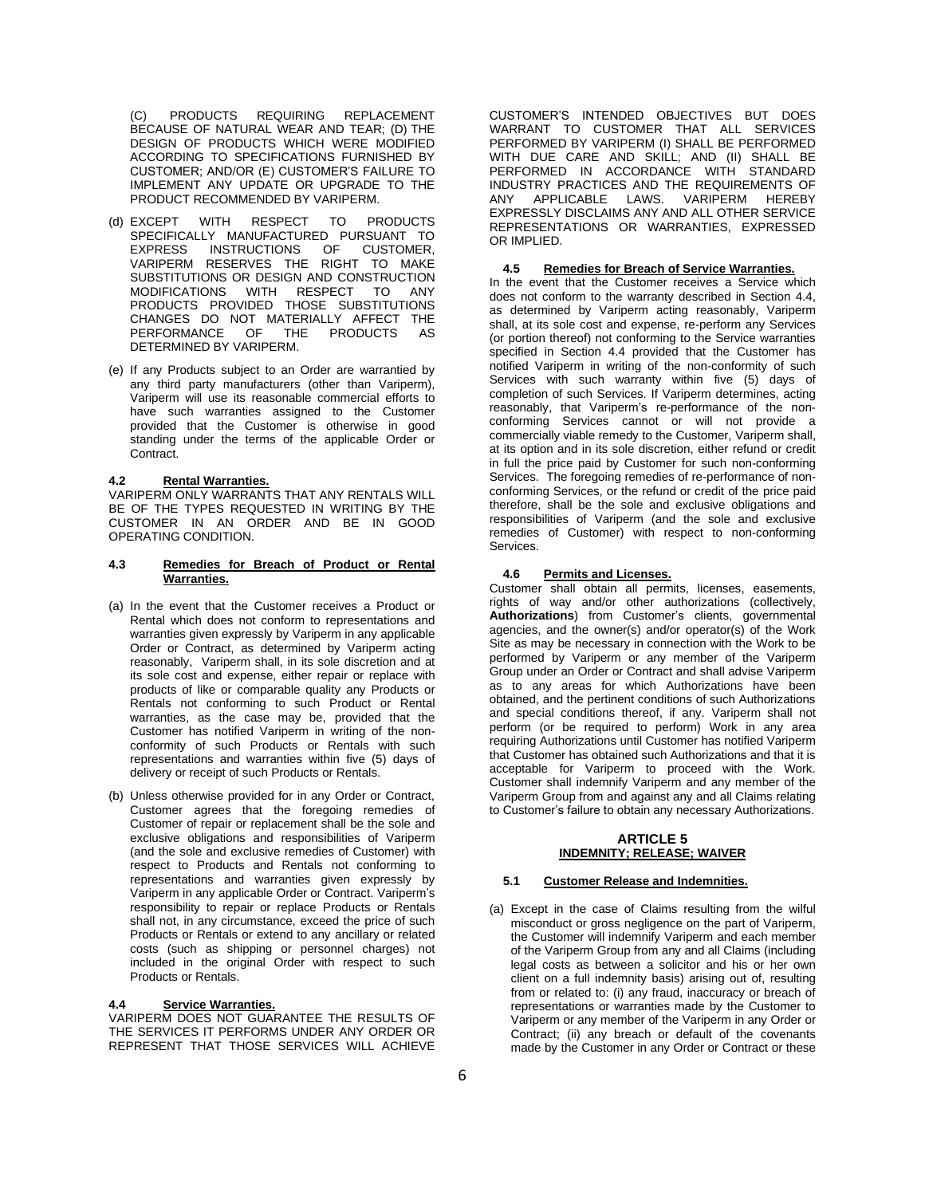(C) PRODUCTS REQUIRING REPLACEMENT BECAUSE OF NATURAL WEAR AND TEAR; (D) THE DESIGN OF PRODUCTS WHICH WERE MODIFIED ACCORDING TO SPECIFICATIONS FURNISHED BY CUSTOMER; AND/OR (E) CUSTOMER'S FAILURE TO IMPLEMENT ANY UPDATE OR UPGRADE TO THE PRODUCT RECOMMENDED BY VARIPERM.

- (d) EXCEPT WITH RESPECT TO PRODUCTS SPECIFICALLY MANUFACTURED PURSUANT TO EXPRESS INSTRUCTIONS OF CUSTOMER, VARIPERM RESERVES THE RIGHT TO MAKE SUBSTITUTIONS OR DESIGN AND CONSTRUCTION<br>MODIFICATIONS WITH RESPECT TO ANY WITH RESPECT TO PRODUCTS PROVIDED THOSE SUBSTITUTIONS CHANGES DO NOT MATERIALLY AFFECT THE PERFORMANCE OF THE PRODUCTS AS DETERMINED BY VARIPERM.
- (e) If any Products subject to an Order are warrantied by any third party manufacturers (other than Variperm), Variperm will use its reasonable commercial efforts to have such warranties assigned to the Customer provided that the Customer is otherwise in good standing under the terms of the applicable Order or Contract.

## **4.2 Rental Warranties.**

VARIPERM ONLY WARRANTS THAT ANY RENTALS WILL BE OF THE TYPES REQUESTED IN WRITING BY THE CUSTOMER IN AN ORDER AND BE IN GOOD OPERATING CONDITION.

# **4.3 Remedies for Breach of Product or Rental Warranties.**

- (a) In the event that the Customer receives a Product or Rental which does not conform to representations and warranties given expressly by Variperm in any applicable Order or Contract, as determined by Variperm acting reasonably, Variperm shall, in its sole discretion and at its sole cost and expense, either repair or replace with products of like or comparable quality any Products or Rentals not conforming to such Product or Rental warranties, as the case may be, provided that the Customer has notified Variperm in writing of the nonconformity of such Products or Rentals with such representations and warranties within five (5) days of delivery or receipt of such Products or Rentals.
- (b) Unless otherwise provided for in any Order or Contract, Customer agrees that the foregoing remedies of Customer of repair or replacement shall be the sole and exclusive obligations and responsibilities of Variperm (and the sole and exclusive remedies of Customer) with respect to Products and Rentals not conforming to representations and warranties given expressly by Variperm in any applicable Order or Contract. Variperm's responsibility to repair or replace Products or Rentals shall not, in any circumstance, exceed the price of such Products or Rentals or extend to any ancillary or related costs (such as shipping or personnel charges) not included in the original Order with respect to such Products or Rentals.

# <span id="page-5-0"></span>**4.4 Service Warranties.**

VARIPERM DOES NOT GUARANTEE THE RESULTS OF THE SERVICES IT PERFORMS UNDER ANY ORDER OR REPRESENT THAT THOSE SERVICES WILL ACHIEVE

CUSTOMER'S INTENDED OBJECTIVES BUT DOES WARRANT TO CUSTOMER THAT ALL SERVICES PERFORMED BY VARIPERM (I) SHALL BE PERFORMED WITH DUE CARE AND SKILL; AND (II) SHALL BE PERFORMED IN ACCORDANCE WITH STANDARD INDUSTRY PRACTICES AND THE REQUIREMENTS OF<br>ANY APPLICABLE LAWS. VARIPERM HEREBY ANY APPLICABLE LAWS. VARIPERM HEREBY EXPRESSLY DISCLAIMS ANY AND ALL OTHER SERVICE REPRESENTATIONS OR WARRANTIES, EXPRESSED OR IMPLIED.

#### **4.5 Remedies for Breach of Service Warranties.**

In the event that the Customer receives a Service which does not conform to the warranty described in Section [4.4,](#page-5-0) as determined by Variperm acting reasonably, Variperm shall, at its sole cost and expense, re-perform any Services (or portion thereof) not conforming to the Service warranties specified in Section [4.4](#page-5-0) provided that the Customer has notified Variperm in writing of the non-conformity of such Services with such warranty within five (5) days of completion of such Services. If Variperm determines, acting reasonably, that Variperm's re-performance of the nonconforming Services cannot or will not provide a commercially viable remedy to the Customer, Variperm shall, at its option and in its sole discretion, either refund or credit in full the price paid by Customer for such non-conforming Services. The foregoing remedies of re-performance of nonconforming Services, or the refund or credit of the price paid therefore, shall be the sole and exclusive obligations and responsibilities of Variperm (and the sole and exclusive remedies of Customer) with respect to non-conforming Services.

## **4.6 Permits and Licenses.**

Customer shall obtain all permits, licenses, easements, rights of way and/or other authorizations (collectively, **Authorizations**) from Customer's clients, governmental agencies, and the owner(s) and/or operator(s) of the Work Site as may be necessary in connection with the Work to be performed by Variperm or any member of the Variperm Group under an Order or Contract and shall advise Variperm as to any areas for which Authorizations have been obtained, and the pertinent conditions of such Authorizations and special conditions thereof, if any. Variperm shall not perform (or be required to perform) Work in any area requiring Authorizations until Customer has notified Variperm that Customer has obtained such Authorizations and that it is acceptable for Variperm to proceed with the Work. Customer shall indemnify Variperm and any member of the Variperm Group from and against any and all Claims relating to Customer's failure to obtain any necessary Authorizations.

# **ARTICLE 5 INDEMNITY; RELEASE; WAIVER**

# <span id="page-5-1"></span>**5.1 Customer Release and Indemnities.**

(a) Except in the case of Claims resulting from the wilful misconduct or gross negligence on the part of Variperm, the Customer will indemnify Variperm and each member of the Variperm Group from any and all Claims (including legal costs as between a solicitor and his or her own client on a full indemnity basis) arising out of, resulting from or related to: (i) any fraud, inaccuracy or breach of representations or warranties made by the Customer to Variperm or any member of the Variperm in any Order or Contract; (ii) any breach or default of the covenants made by the Customer in any Order or Contract or these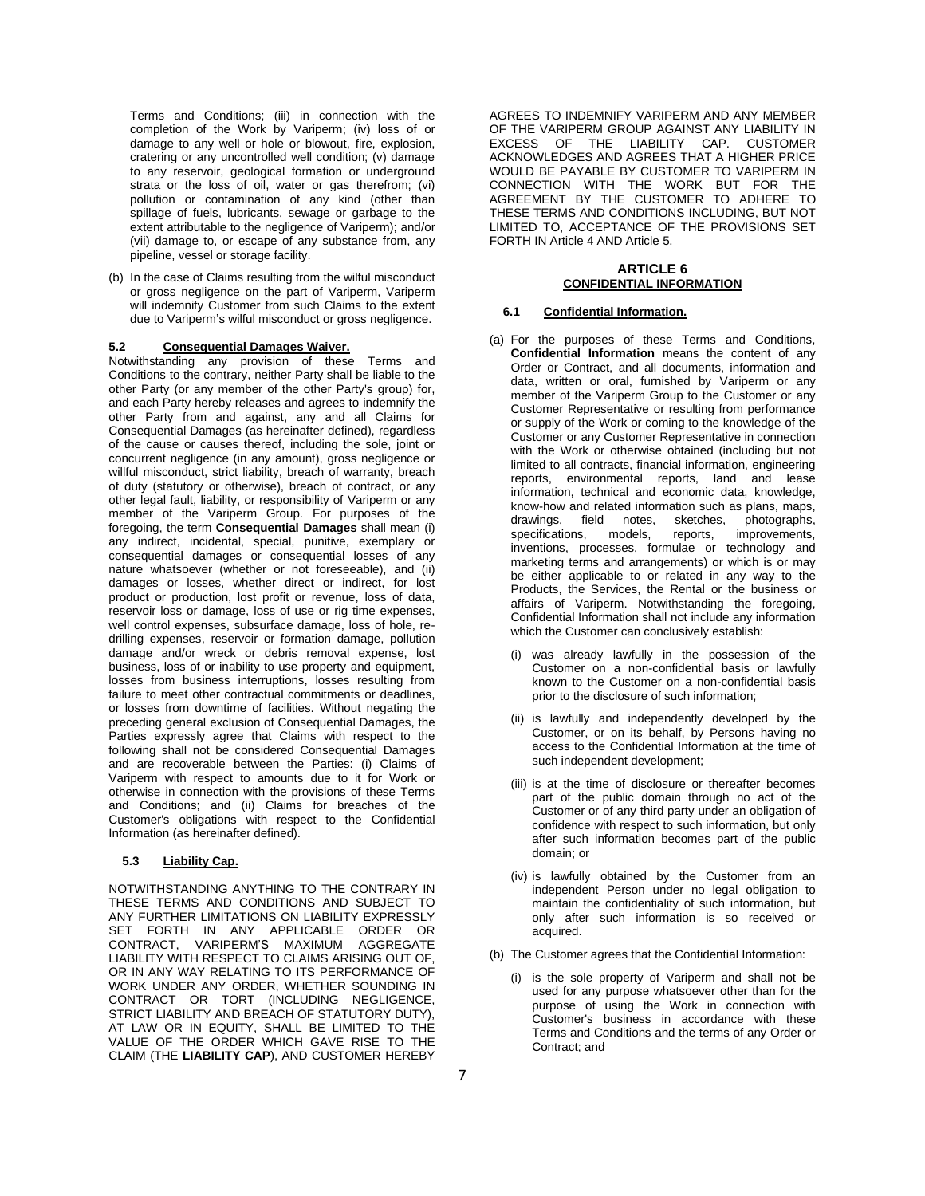Terms and Conditions; (iii) in connection with the completion of the Work by Variperm; (iv) loss of or damage to any well or hole or blowout, fire, explosion, cratering or any uncontrolled well condition; (v) damage to any reservoir, geological formation or underground strata or the loss of oil, water or gas therefrom; (vi) pollution or contamination of any kind (other than spillage of fuels, lubricants, sewage or garbage to the extent attributable to the negligence of Variperm); and/or (vii) damage to, or escape of any substance from, any pipeline, vessel or storage facility.

(b) In the case of Claims resulting from the wilful misconduct or gross negligence on the part of Variperm, Variperm will indemnify Customer from such Claims to the extent due to Variperm's wilful misconduct or gross negligence.

# **5.2 Consequential Damages Waiver.**

Notwithstanding any provision of these Terms and Conditions to the contrary, neither Party shall be liable to the other Party (or any member of the other Party's group) for, and each Party hereby releases and agrees to indemnify the other Party from and against, any and all Claims for Consequential Damages (as hereinafter defined), regardless of the cause or causes thereof, including the sole, joint or concurrent negligence (in any amount), gross negligence or willful misconduct, strict liability, breach of warranty, breach of duty (statutory or otherwise), breach of contract, or any other legal fault, liability, or responsibility of Variperm or any member of the Variperm Group. For purposes of the foregoing, the term **Consequential Damages** shall mean (i) any indirect, incidental, special, punitive, exemplary or consequential damages or consequential losses of any nature whatsoever (whether or not foreseeable), and (ii) damages or losses, whether direct or indirect, for lost product or production, lost profit or revenue, loss of data, reservoir loss or damage, loss of use or rig time expenses, well control expenses, subsurface damage, loss of hole, redrilling expenses, reservoir or formation damage, pollution damage and/or wreck or debris removal expense, lost business, loss of or inability to use property and equipment, losses from business interruptions, losses resulting from failure to meet other contractual commitments or deadlines. or losses from downtime of facilities. Without negating the preceding general exclusion of Consequential Damages, the Parties expressly agree that Claims with respect to the following shall not be considered Consequential Damages and are recoverable between the Parties: (i) Claims of Variperm with respect to amounts due to it for Work or otherwise in connection with the provisions of these Terms and Conditions; and (ii) Claims for breaches of the Customer's obligations with respect to the Confidential Information (as hereinafter defined).

# **5.3 Liability Cap.**

NOTWITHSTANDING ANYTHING TO THE CONTRARY IN THESE TERMS AND CONDITIONS AND SUBJECT TO ANY FURTHER LIMITATIONS ON LIABILITY EXPRESSLY SET FORTH IN ANY APPLICABLE ORDER OR CONTRACT, VARIPERM'S MAXIMUM AGGREGATE LIABILITY WITH RESPECT TO CLAIMS ARISING OUT OF, OR IN ANY WAY RELATING TO ITS PERFORMANCE OF WORK UNDER ANY ORDER, WHETHER SOUNDING IN CONTRACT OR TORT (INCLUDING NEGLIGENCE, STRICT LIABILITY AND BREACH OF STATUTORY DUTY), AT LAW OR IN EQUITY, SHALL BE LIMITED TO THE VALUE OF THE ORDER WHICH GAVE RISE TO THE CLAIM (THE **LIABILITY CAP**), AND CUSTOMER HEREBY

AGREES TO INDEMNIFY VARIPERM AND ANY MEMBER OF THE VARIPERM GROUP AGAINST ANY LIABILITY IN EXCESS OF THE LIABILITY CAP. CUSTOMER ACKNOWLEDGES AND AGREES THAT A HIGHER PRICE WOULD BE PAYABLE BY CUSTOMER TO VARIPERM IN CONNECTION WITH THE WORK BUT FOR THE AGREEMENT BY THE CUSTOMER TO ADHERE TO THESE TERMS AND CONDITIONS INCLUDING, BUT NOT LIMITED TO, ACCEPTANCE OF THE PROVISIONS SET FORTH I[N Article](#page-4-2) 4 AN[D Article](#page-5-1) 5.

## **ARTICLE 6 CONFIDENTIAL INFORMATION**

#### <span id="page-6-0"></span>**6.1 Confidential Information.**

- (a) For the purposes of these Terms and Conditions, **Confidential Information** means the content of any Order or Contract, and all documents, information and data, written or oral, furnished by Variperm or any member of the Variperm Group to the Customer or any Customer Representative or resulting from performance or supply of the Work or coming to the knowledge of the Customer or any Customer Representative in connection with the Work or otherwise obtained (including but not limited to all contracts, financial information, engineering reports, environmental reports, land and lease information, technical and economic data, knowledge, know-how and related information such as plans, maps, drawings, field notes, sketches, photographs, drawings, field notes, sketches<br>specifications, models, reports, improvements, inventions, processes, formulae or technology and marketing terms and arrangements) or which is or may be either applicable to or related in any way to the Products, the Services, the Rental or the business or affairs of Variperm. Notwithstanding the foregoing, Confidential Information shall not include any information which the Customer can conclusively establish:
	- (i) was already lawfully in the possession of the Customer on a non-confidential basis or lawfully known to the Customer on a non-confidential basis prior to the disclosure of such information;
	- (ii) is lawfully and independently developed by the Customer, or on its behalf, by Persons having no access to the Confidential Information at the time of such independent development;
	- (iii) is at the time of disclosure or thereafter becomes part of the public domain through no act of the Customer or of any third party under an obligation of confidence with respect to such information, but only after such information becomes part of the public domain; or
	- (iv) is lawfully obtained by the Customer from an independent Person under no legal obligation to maintain the confidentiality of such information, but only after such information is so received or acquired.
- (b) The Customer agrees that the Confidential Information:
	- (i) is the sole property of Variperm and shall not be used for any purpose whatsoever other than for the purpose of using the Work in connection with Customer's business in accordance with these Terms and Conditions and the terms of any Order or Contract; and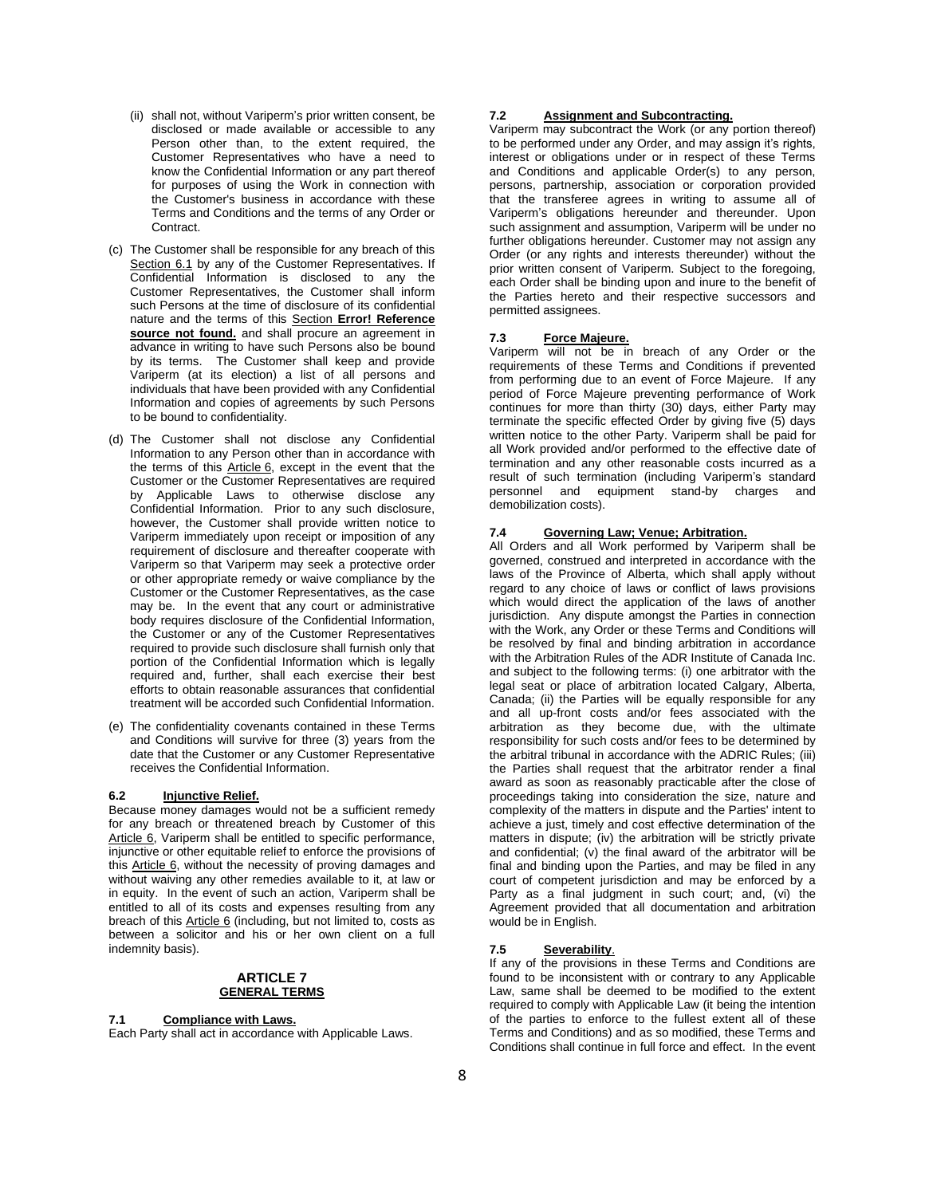- (ii) shall not, without Variperm's prior written consent, be disclosed or made available or accessible to any Person other than, to the extent required, the Customer Representatives who have a need to know the Confidential Information or any part thereof for purposes of using the Work in connection with the Customer's business in accordance with these Terms and Conditions and the terms of any Order or Contract.
- (c) The Customer shall be responsible for any breach of this Section 6.1 by any of the Customer Representatives. If Confidential Information is disclosed to any the Customer Representatives, the Customer shall inform such Persons at the time of disclosure of its confidential nature and the terms of this Section **Error! Reference**  source not found. and shall procure an agreement in advance in writing to have such Persons also be bound by its terms. The Customer shall keep and provide Variperm (at its election) a list of all persons and individuals that have been provided with any Confidential Information and copies of agreements by such Persons to be bound to confidentiality.
- (d) The Customer shall not disclose any Confidential Information to any Person other than in accordance with the terms of this [Article](#page-6-0) 6, except in the event that the Customer or the Customer Representatives are required by Applicable Laws to otherwise disclose any Confidential Information. Prior to any such disclosure, however, the Customer shall provide written notice to Variperm immediately upon receipt or imposition of any requirement of disclosure and thereafter cooperate with Variperm so that Variperm may seek a protective order or other appropriate remedy or waive compliance by the Customer or the Customer Representatives, as the case may be. In the event that any court or administrative body requires disclosure of the Confidential Information, the Customer or any of the Customer Representatives required to provide such disclosure shall furnish only that portion of the Confidential Information which is legally required and, further, shall each exercise their best efforts to obtain reasonable assurances that confidential treatment will be accorded such Confidential Information.
- (e) The confidentiality covenants contained in these Terms and Conditions will survive for three (3) years from the date that the Customer or any Customer Representative receives the Confidential Information.

## **6.2 Injunctive Relief.**

Because money damages would not be a sufficient remedy for any breach or threatened breach by Customer of this Article 6, Variperm shall be entitled to specific performance, injunctive or other equitable relief to enforce the provisions of this Article 6, without the necessity of proving damages and without waiving any other remedies available to it, at law or in equity. In the event of such an action, Variperm shall be entitled to all of its costs and expenses resulting from any breach of this Article 6 (including, but not limited to, costs as between a solicitor and his or her own client on a full indemnity basis).

# **ARTICLE 7 GENERAL TERMS**

#### **7.1 Compliance with Laws.**

Each Party shall act in accordance with Applicable Laws.

# **7.2 Assignment and Subcontracting.**

Variperm may subcontract the Work (or any portion thereof) to be performed under any Order, and may assign it's rights, interest or obligations under or in respect of these Terms and Conditions and applicable Order(s) to any person, persons, partnership, association or corporation provided that the transferee agrees in writing to assume all of Variperm's obligations hereunder and thereunder. Upon such assignment and assumption, Variperm will be under no further obligations hereunder. Customer may not assign any Order (or any rights and interests thereunder) without the prior written consent of Variperm. Subject to the foregoing, each Order shall be binding upon and inure to the benefit of the Parties hereto and their respective successors and permitted assignees.

## **7.3 Force Majeure.**

Variperm will not be in breach of any Order or the requirements of these Terms and Conditions if prevented from performing due to an event of Force Majeure. If any period of Force Majeure preventing performance of Work continues for more than thirty (30) days, either Party may terminate the specific effected Order by giving five (5) days written notice to the other Party. Variperm shall be paid for all Work provided and/or performed to the effective date of termination and any other reasonable costs incurred as a result of such termination (including Variperm's standard personnel and equipment stand-by charges demobilization costs).

### **7.4 Governing Law; Venue; Arbitration.**

All Orders and all Work performed by Variperm shall be governed, construed and interpreted in accordance with the laws of the Province of Alberta, which shall apply without regard to any choice of laws or conflict of laws provisions which would direct the application of the laws of another jurisdiction. Any dispute amongst the Parties in connection with the Work, any Order or these Terms and Conditions will be resolved by final and binding arbitration in accordance with the Arbitration Rules of the ADR Institute of Canada Inc. and subject to the following terms: (i) one arbitrator with the legal seat or place of arbitration located Calgary, Alberta, Canada; (ii) the Parties will be equally responsible for any and all up-front costs and/or fees associated with the arbitration as they become due, with the ultimate responsibility for such costs and/or fees to be determined by the arbitral tribunal in accordance with the ADRIC Rules; (iii) the Parties shall request that the arbitrator render a final award as soon as reasonably practicable after the close of proceedings taking into consideration the size, nature and complexity of the matters in dispute and the Parties' intent to achieve a just, timely and cost effective determination of the matters in dispute; (iv) the arbitration will be strictly private and confidential; (v) the final award of the arbitrator will be final and binding upon the Parties, and may be filed in any court of competent jurisdiction and may be enforced by a Party as a final judgment in such court; and, (vi) the Agreement provided that all documentation and arbitration would be in English.

# **7.5 Severability**.

If any of the provisions in these Terms and Conditions are found to be inconsistent with or contrary to any Applicable Law, same shall be deemed to be modified to the extent required to comply with Applicable Law (it being the intention of the parties to enforce to the fullest extent all of these Terms and Conditions) and as so modified, these Terms and Conditions shall continue in full force and effect. In the event